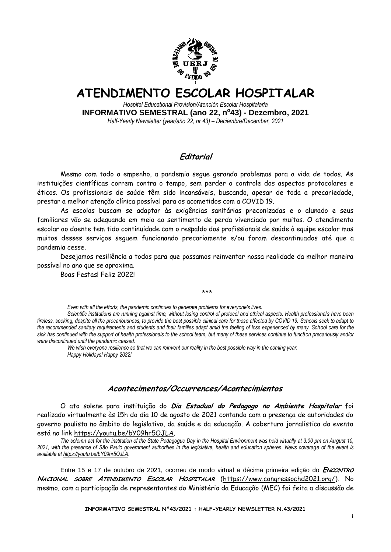

# **ATENDIMENTO ESCOLAR HOSPITALAR**

*Hospital Educational Provision/Atención Escolar Hospitalaria* **INFORMATIVO SEMESTRAL (ano 22, n<sup>o</sup> 43) - Dezembro, 2021** *Half-Yearly Newsletter (year/año 22, nr 43) – Deciembre/December, 2021*

## **Editorial**

Mesmo com todo o empenho, a pandemia segue gerando problemas para a vida de todos. As instituições científicas correm contra o tempo, sem perder o controle dos aspectos protocolares e éticos. Os profissionais de saúde têm sido incansáveis, buscando, apesar de toda a precariedade, prestar a melhor atenção clínica possível para os acometidos com a COVID 19.

As escolas buscam se adaptar às exigências sanitárias preconizadas e o alunado e seus familiares vão se adequando em meio ao sentimento de perda vivenciado por muitos. O atendimento escolar ao doente tem tido continuidade com o respaldo dos profissionais de saúde à equipe escolar mas muitos desses serviços seguem funcionando precariamente e/ou foram descontinuados até que a pandemia cesse.

Desejamos resiliência a todos para que possamos reinventar nossa realidade da melhor maneira possível no ano que se aproxima.

Boas Festas! Feliz 2022!

\*\*\*

*Even with all the efforts, the pandemic continues to generate problems for everyone's lives.* 

*Scientific institutions are running against time, without losing control of protocol and ethical aspects. Health professionals have been tireless, seeking, despite all the precariousness, to provide the best possible clinical care for those affected by COVID 19. Schools seek to adapt to the recommended sanitary requirements and students and their families adapt amid the feeling of loss experienced by many. School care for the sick has continued with the support of health professionals to the school team, but many of these services continue to function precariously and/or were discontinued until the pandemic ceased.*

*We wish everyone resilience so that we can reinvent our reality in the best possible way in the coming year. Happy Holidays! Happy 2022!*

### **Acontecimentos/Occurrences/Acontecimientos**

O ato solene para instituição do **Dia Estadual do Pedagogo no Ambiente Hospitalar** foi realizado virtualmente às 15h do dia 10 de agosto de 2021 contando com a presença de autoridades do governo paulista no âmbito do legislativo, da saúde e da educação. A cobertura jornalística do evento está no link [https://youtu.be/bY09hr5OJLA.](https://youtu.be/bY09hr5OJLA)

*The solemn act for the institution of the State Pedagogue Day in the Hospital Environment was held virtually at 3:00 pm on August 10, 2021, with the presence of São Paulo government authorities in the legislative, health and education spheres. News coverage of the event is available at https://youtu.be/bY09hr5OJLA.*

Entre 15 e 17 de outubro de 2021, ocorreu de modo virtual a décima primeira edição do **ENCONTRO NACIONAL SOBRE ATENDIMENTO ESCOLAR HOSPITALAR** [\(https://www.congressochd2021.org/\)](https://www.congressochd2021.org/). No mesmo, com a participação de representantes do Ministério da Educação (MEC) foi feita a discussão de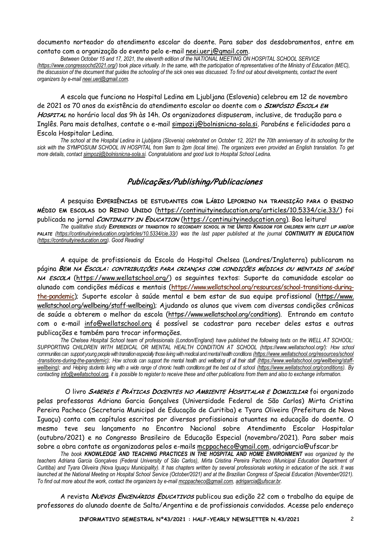documento norteador do atendimento escolar do doente. Para saber dos desdobramentos, entre em contato com a organização do evento pelo e-mail [neei.uerj@gmail.com.](mailto:neei.uerj@gmail.com)

*Between October 15 and 17, 2021, the eleventh edition of the NATIONAL MEETING ON HOSPITAL SCHOOL SERVICE (https://www.congressochd2021.org/) took place virtually. In the same, with the participation of representatives of the Ministry of Education (MEC), the discussion of the document that guides the schooling of the sick ones was discussed. To find out about developments, contact the event organizers by e-mail neei.uerj@gmail.com.*

A escola que funciona no Hospital Ledina em Ljubljana (Eslovenia) celebrou em 12 de novembro de 2021 os 70 anos da existência do atendimento escolar ao doente com o **SIMPÓSIO ESCOLA EM HOSPITAL** no horário local das 9h às 14h. Os organizadores dispuseram, inclusive, de tradução para o Inglês. Para mais detalhes, contate o e-mail simpozij@bolnisnicna-sola.si. Parabéns e felicidades para a Escola Hospitalar Ledina.

*The school at the Hospital Ledina in Ljubljana (Slovenia) celebrated on October 12, 2021 the 70th anniversary of its schooling for the sick with the SYMPOSIUM SCHOOL IN HOSPITAL from 9am to 2pm (local time). The organizers even provided an English translation. To get more details, contact simpozij@bolnisnicna-sola.si. Congratulations and good luck to Hospital School Ledina.*

### **Publicações/Publishing/Publicaciones**

A pesquisa **EXPERIÊNCIAS DE ESTUDANTES COM LÁBIO LEPORINO NA TRANSIÇÃO PARA O ENSINO MÉDIO EM ESCOLAS DO REINO UNIDO** [\(https://continuityineducation.org/articles/10.5334/cie.33/\)](https://continuityineducation.org/articles/10.5334/cie.33/) foi publicada no jornal **CONTINUITY IN EDUCATION** [\(https://continuityineducation.org\)](https://continuityineducation.org/). Boa leitura!

*The qualitative study EXPERIENCES OF TRANDITION TO SECONDARY SCHOOL IN THE UNITED KINGDOM FOR CHILDREN WITH CLEFT LIP AND/OR PALATE [\(https://continuityineducation.org/articles/10.5334/cie.33/\)](https://continuityineducation.org/articles/10.5334/cie.33/) was the last paper published at the journal CONTINUITY IN EDUCATION [\(https://continuityineducation.org\)](https://continuityineducation.org/). Good Reading!*

A equipe de profissionais da Escola do Hospital Chelsea (Londres/Inglaterra) publicaram na página **BEM NA ESCOLA: CONTRIBUIÇÕES PARA CRIANÇAS COM CONDIÇÕES MÉDICAS OU MENTAIS DE SAÚDE NA ESCOLA** [\(https://www.wellatschool.org/\)](https://www.wellatschool.org/) os seguintes textos: Suporte da comunidade escolar ao alunado com condições médicas e mentais [\(https://www.wellatschool.org/resources/school-transitions-during](https://wellatschool.us2.list-manage.com/track/click?u=f08adf337ac9aa8f384b9a50b&id=373a237b2b&e=a920b5dd01)[the-pandemic\)](https://wellatschool.us2.list-manage.com/track/click?u=f08adf337ac9aa8f384b9a50b&id=373a237b2b&e=a920b5dd01); Suporte escolar à saúde mental e bem estar de sua equipe profissional (https://www. wellatschool.org/wellbeing/staff-wellbeing); Ajudando os alunos que vivem com diversas condições crônicas de saúde a obterem o melhor da escola [\(https://www.wellatschool.org/conditions\)](https://wellatschool.us2.list-manage.com/track/click?u=f08adf337ac9aa8f384b9a50b&id=55cf22a051&e=a920b5dd01). Entrando em contato com o e-mail info@wellatschool.org é possível se cadastrar para receber deles estas e outras publicações e também para trocar informações.

*The Chelsea Hospital School team of professionals (London/England) have published the following texts on the WELL AT SCHOOL: SUPPORTING CHILDREN WITH MEDICAL OR MENTAL HEALTH CONDITION AT SCHOOL (https://www.wellatschool.org/): How school communities can supportyoung people with transition especially those living with medical and mental health conditions [\(https://www.wellatschool.org/resources/school](https://www.wellatschool.org/resources/school) -transitions-during-the-pandemic); How schools can support the mental health and wellbeing of all their staff [\(https://www.wellatschool.org/wellbeing/staff](https://www.wellatschool.org/wellbeing/staff-wellbeing)[wellbeing\);](https://www.wellatschool.org/wellbeing/staff-wellbeing) and Helping students living with a wide range of chronic health conditions get the best out of school (https://www.wellatschool.org/conditions). By contacting info@wellatschool.org, it is possible to register to receive these and other publications from them and also to exchange information.*

O livro **SABERES E PRÁTICAS DOCENTES NO AMBIENTE HOSPITALAR E DOMICILIAR** foi organizado pelas professoras Adriana Garcia Gonçalves (Universidade Federal de São Carlos) Mirta Cristina Pereira Pacheco (Secretaria Municipal de Educação de Curitiba) e Tyara Oliveira (Prefeitura de Nova Iguaçu) conta com capítulos escritos por diversos profissionais atuantes na educação do doente. O mesmo teve seu lançamento no Encontro Nacional sobre Atendimento Escolar Hospitalar (outubro/2021) e no Congresso Brasileiro de Educação Especial (novembro/2021). Para saber mais sobre a obra contate as organizadoras pelos e-mails [mcppacheco@gmail.com,](mailto:mcppacheco@gmail.com) adrigarcia@ufscar.br

*The book KNOWLEDGE AND TEACHING PRACTICES IN THE HOSPITAL AND HOME ENVIRONMENT was organized by the teachers Adriana Garcia Gonçalves (Federal University of São Carlos), Mirta Cristina Pereira Pacheco (Municipal Education Department of Curitiba) and Tyara Oliveira (Nova Iguaçu Municipality). It has chapters written by several professionals working in education of the sick. It was*  launched at the National Meeting on Hospital School Service (October/2021) and at the Brazilian Congress of Special Education (November/2021). *To find out more about the work, contact the organizers by e-mail mcppacheco@gmail.com, [adrigarcia@ufscar.br.](mailto:adrigarcia@ufscar.br)*

A revista **NUEVOS ENCENÁRIOS EDUCATIVOS** publicou sua edição 22 com o trabalho da equipe de professores do alunado doente de Salta/Argentina e de profissionais convidados. Acesse pelo endereço